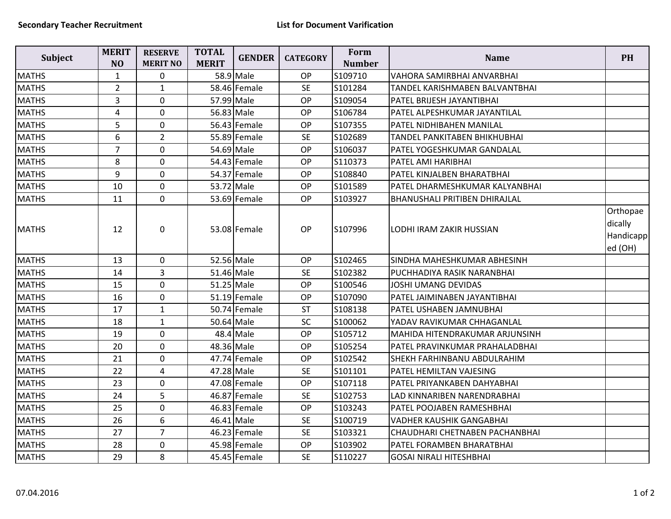| <b>Subject</b> | <b>MERIT</b><br>N <sub>O</sub> | <b>RESERVE</b><br><b>MERIT NO</b> | <b>TOTAL</b><br><b>MERIT</b> | <b>GENDER</b> | <b>CATEGORY</b> | Form<br><b>Number</b> | <b>Name</b>                          | <b>PH</b>                                   |
|----------------|--------------------------------|-----------------------------------|------------------------------|---------------|-----------------|-----------------------|--------------------------------------|---------------------------------------------|
| <b>MATHS</b>   | $\mathbf{1}$                   | $\pmb{0}$                         |                              | 58.9 Male     | OP              | S109710               | VAHORA SAMIRBHAI ANVARBHAI           |                                             |
| <b>MATHS</b>   | $\overline{2}$                 | $\mathbf{1}$                      |                              | 58.46 Female  | <b>SE</b>       | S101284               | TANDEL KARISHMABEN BALVANTBHAI       |                                             |
| <b>MATHS</b>   | 3                              | $\mathbf 0$                       | 57.99 Male                   |               | OP              | S109054               | PATEL BRIJESH JAYANTIBHAI            |                                             |
| <b>MATHS</b>   | 4                              | $\mathbf 0$                       | 56.83 Male                   |               | OP              | S106784               | PATEL ALPESHKUMAR JAYANTILAL         |                                             |
| <b>MATHS</b>   | 5                              | $\mathbf 0$                       |                              | 56.43 Female  | OP              | S107355               | PATEL NIDHIBAHEN MANILAL             |                                             |
| <b>MATHS</b>   | 6                              | $\overline{2}$                    |                              | 55.89 Female  | <b>SE</b>       | S102689               | <b>TANDEL PANKITABEN BHIKHUBHAI</b>  |                                             |
| <b>MATHS</b>   | $\overline{7}$                 | $\mathbf 0$                       | 54.69 Male                   |               | OP              | S106037               | <b>PATEL YOGESHKUMAR GANDALAL</b>    |                                             |
| <b>MATHS</b>   | 8                              | $\mathbf 0$                       |                              | 54.43 Female  | OP              | S110373               | PATEL AMI HARIBHAI                   |                                             |
| <b>MATHS</b>   | 9                              | $\mathbf 0$                       |                              | 54.37 Female  | OP              | S108840               | PATEL KINJALBEN BHARATBHAI           |                                             |
| <b>MATHS</b>   | 10                             | $\mathbf 0$                       | 53.72 Male                   |               | OP              | S101589               | PATEL DHARMESHKUMAR KALYANBHAI       |                                             |
| <b>MATHS</b>   | 11                             | $\mathbf 0$                       |                              | 53.69 Female  | OP              | S103927               | <b>BHANUSHALI PRITIBEN DHIRAJLAL</b> |                                             |
| <b>MATHS</b>   | 12                             | $\mathbf 0$                       |                              | 53.08 Female  | OP              | S107996               | LODHI IRAM ZAKIR HUSSIAN             | Orthopae<br>dically<br>Handicapp<br>ed (OH) |
| <b>MATHS</b>   | 13                             | $\mathbf 0$                       | 52.56 Male                   |               | OP              | S102465               | SINDHA MAHESHKUMAR ABHESINH          |                                             |
| <b>MATHS</b>   | 14                             | $\overline{3}$                    | 51.46 Male                   |               | <b>SE</b>       | S102382               | PUCHHADIYA RASIK NARANBHAI           |                                             |
| <b>MATHS</b>   | 15                             | $\mathbf 0$                       | 51.25 Male                   |               | OP              | S100546               | JOSHI UMANG DEVIDAS                  |                                             |
| <b>MATHS</b>   | 16                             | $\mathbf 0$                       |                              | 51.19 Female  | OP              | S107090               | PATEL JAIMINABEN JAYANTIBHAI         |                                             |
| <b>MATHS</b>   | 17                             | $\mathbf{1}$                      |                              | 50.74 Female  | <b>ST</b>       | S108138               | PATEL USHABEN JAMNUBHAI              |                                             |
| <b>MATHS</b>   | 18                             | $\mathbf{1}$                      | 50.64 Male                   |               | SC              | S100062               | YADAV RAVIKUMAR CHHAGANLAL           |                                             |
| <b>MATHS</b>   | 19                             | $\mathbf 0$                       |                              | 48.4 Male     | <b>OP</b>       | S105712               | MAHIDA HITENDRAKUMAR ARJUNSINH       |                                             |
| <b>MATHS</b>   | 20                             | $\mathbf 0$                       | 48.36 Male                   |               | OP              | S105254               | PATEL PRAVINKUMAR PRAHALADBHAI       |                                             |
| <b>MATHS</b>   | 21                             | $\mathbf 0$                       |                              | 47.74 Female  | <b>OP</b>       | S102542               | SHEKH FARHINBANU ABDULRAHIM          |                                             |
| <b>MATHS</b>   | 22                             | $\overline{\mathbf{4}}$           | 47.28 Male                   |               | <b>SE</b>       | S101101               | PATEL HEMILTAN VAJESING              |                                             |
| <b>MATHS</b>   | 23                             | $\mathbf 0$                       |                              | 47.08 Female  | <b>OP</b>       | S107118               | PATEL PRIYANKABEN DAHYABHAI          |                                             |
| <b>MATHS</b>   | 24                             | 5                                 |                              | 46.87 Female  | <b>SE</b>       | S102753               | LAD KINNARIBEN NARENDRABHAI          |                                             |
| <b>MATHS</b>   | 25                             | $\mathbf 0$                       |                              | 46.83 Female  | OP              | S103243               | PATEL POOJABEN RAMESHBHAI            |                                             |
| <b>MATHS</b>   | 26                             | 6                                 | 46.41 Male                   |               | <b>SE</b>       | S100719               | <b>VADHER KAUSHIK GANGABHAI</b>      |                                             |
| <b>MATHS</b>   | 27                             | $\overline{7}$                    |                              | 46.23 Female  | <b>SE</b>       | S103321               | CHAUDHARI CHETNABEN PACHANBHAI       |                                             |
| <b>MATHS</b>   | 28                             | $\mathbf 0$                       |                              | 45.98 Female  | OP              | S103902               | PATEL FORAMBEN BHARATBHAI            |                                             |
| <b>MATHS</b>   | 29                             | 8                                 |                              | 45.45 Female  | <b>SE</b>       | S110227               | <b>GOSAI NIRALI HITESHBHAI</b>       |                                             |